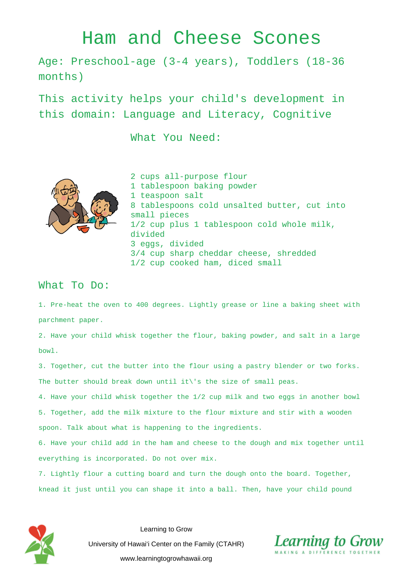## Ham and Cheese Scones

Age: Preschool-age (3-4 years), Toddlers (18-36 months)

This activity helps your child's development in this domain: Language and Literacy, Cognitive

What You Need:



2 cups all-purpose flour 1 tablespoon baking powder 1 teaspoon salt 8 tablespoons cold unsalted butter, cut into small pieces 1/2 cup plus 1 tablespoon cold whole milk, divided 3 eggs, divided 3/4 cup sharp cheddar cheese, shredded 1/2 cup cooked ham, diced small

## What To Do:

1. Pre-heat the oven to 400 degrees. Lightly grease or line a baking sheet with parchment paper.

2. Have your child whisk together the flour, baking powder, and salt in a large bowl.

3. Together, cut the butter into the flour using a pastry blender or two forks. The butter should break down until it\'s the size of small peas.

4. Have your child whisk together the 1/2 cup milk and two eggs in another bowl 5. Together, add the milk mixture to the flour mixture and stir with a wooden spoon. Talk about what is happening to the ingredients.

6. Have your child add in the ham and cheese to the dough and mix together until everything is incorporated. Do not over mix.

7. Lightly flour a cutting board and turn the dough onto the board. Together, knead it just until you can shape it into a ball. Then, have your child pound



Learning to Grow University of Hawai'i Center on the Family (CTAHR) www.learningtogrowhawaii.org